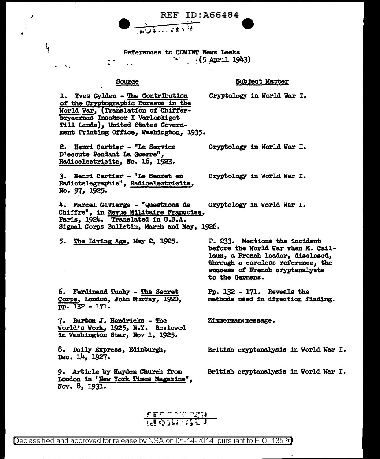

### References to COMINT News Leaks  $\sim$  (5 April 1943)

#### Source

A

 $\frac{1}{1}$ 

#### **Subject Matter**

1. Yves Gylden - The Contribution of the Cryptographic Bureaus in the World War, (Translation of Chifferbryaernas Insatser I Varleskiget Till Lands), United States Government Printing Office, Washington, 1935.

2. Henri Cartier - "Le Service D'ecoute Pendant La Guerre", Radioelectricite, No. 16, 1923.

3. Henri Cartier - "Le Secret en Radiotelegraphie", Radioelectricite, No. 97, 1925.

4. Marcel Givierge - "Questions de Chiffre", in Revue Militaire Francoise, Paris, 1924. Translated in U.S.A. Signal Corps Bulletin, March and May, 1926.

5. The Living Age, May 2, 1925.

6. Ferdinand Tuohy - The Secret Corps, London, John Murray, 1920, pp. 132 - 171.

7. Burton J. Hendricks - The World's Work, 1925, N.Y. Reviewed in Washington Star, Nov 1, 1925.

8. Daily Express, Edinburgh, Dec. 14, 1927.

9. Article by Hayden Church from London in "New York Times Magazine", Nov.  $8, 193\overline{1}$ .

Cryptology in World War I.

Cryptology in World War I.

Cryptology in World War I.

Cryptology in World War I.

P. 233. Mentions the incident before the World War when M. Caillaux, a French leader, disclosed, through a careless reference, the success of French cryptanalysts to the Germans.

Pp.  $132 - 171$ . Reveals the methods used in direction finding.

Zimmermann message.

British cryptanalysis in World War I.

British cryptanalysis in World War I.

<u>erembergan</u>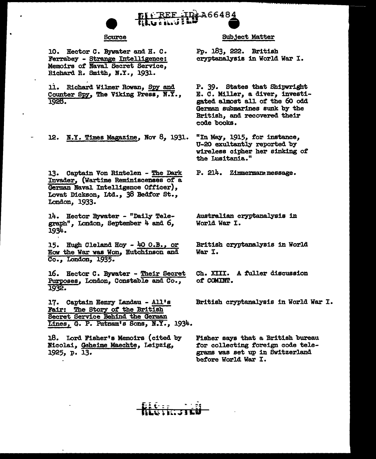

#### Source

10. Hector C. Bywater and H. C. Ferrabey - Strange Intelligence: Memoirs of Naval Secret Service, Richard R. Smith, N.Y., 1931.

11. Richard Wilmer Rowan, Spy and Counter Spy, The Viking Press, N.Y., 1928.

12. N.Y. Times Magazine, Nov 8, 1931.

13. Captain Von Rintelen - The Dark Invader, (Wartime Reminiscenses of a German Naval Intelligence Officer), Lovat Dickson, Ltd., 38 Bedfor St., London, 1933.

14. Hector Bywater - "Daily Telegraph", London, September 4 and 6. 1934.

15. Hugh Cleland Hoy - 40 O.B., or How the War was Won, Hutchinson and Co., London, 1935.

16. Hector C. Bywater - Their Secret Purposes, London, Constable and Co., 1932.

17. Captain Henry Landau - All's Fair: The Story of the British Secret Service Behind the German Lines, G. P. Putnam's Sons, N.Y., 1934.

18. Lord Fisher's Memoirs (cited by Nicolai, Geheime Maechte, Leipzig, 1925, p. 13.

#### **Subject Matter**

Pp. 183, 222. British cryptanalysis in World War I.

P. 39. States that Shipwright E. C. Miller, a diver, investigated almost all of the 60 odd German submarines sunk by the British, and recovered their code books.

"In May, 1915, for instance, U-20 exultantly reported by wireless cipher her sinking of the Lusitania."

P. 214. Zimmermann message.

Australian cryptanalysis in World War I.

British cryptanalysis in World War I.

Ch. XIII. A fuller discussion of COMINT.

British cryptanalysis in World War I.

Fisher says that a British bureau for collecting foreign code telegrams was set up in Switzerland before World War I.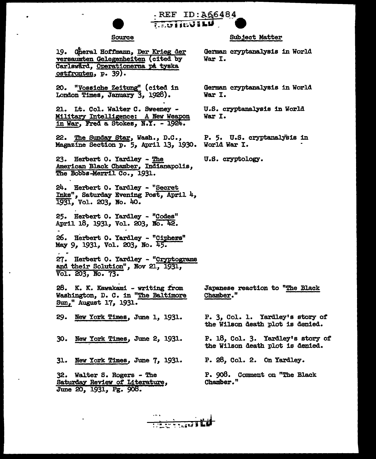

**MATUNIERS** 

REF ID: A66484

### **Source**

19. Cheral Hoffmann, Der Krieg der versaumten Gelegenheiten (cited by Carlswärd, Operationerna på tyska ostfronten, p. 39).

20. "Vossiche Zeitung" (cited in London Times, January 3, 1928).

21. Lt. Col. Walter C. Sweeney -Military Intelligence: A New Weapon in War, Fred a Stokes, N.Y. - 1924.

22. The Sunday Star, Wash., D.C., Magazine Section p. 5, April 13, 1930. World War I.

23. Herbert O. Yardley - The American Black Chamber, Indianapolis, The Bobbs-Merril Co., 1931.

24. Herbert O. Yardley - "Secret Inks", Saturday Evening Post, April 4, 1931, Vol. 203, No. 40.

25. Herbert O. Yardley - "Codes" April 18, 1931, Vol. 203, No. 42.

26. Herbert O. Yardley - "Ciphers" May 9, 1931, Vol. 203, No. 45.

27. Herbert O. Yardley - "Cryptograms and their Solution", Nov 21, 1931, Vol. 203, No. 73.

28. K. K. Kawakami - writing from Washington, D. C. in "The Baltimore Sun," August 17, 1931.

29. New York Times, June 1, 1931.

30. New York Times, June 2, 1931.

31. New York Times, June 7, 1931.

32. Walter S. Rogers - The Saturday Review of Literature,<br>June 20, 1931, Pg. 908.

#### **Subject Matter**

German cryptanalysis in World War I.

German cryptanalysis in World War I.

U.S. cryptanalysis in World War I.

P. 5. U.S. cryptanalysis in

U.S. cryptology.

Japanese reaction to "The Black Chamber."

P. 3, Col. 1. Yardley's story of the Wilson death plot is denied.

P. 18, Col. 3. Yardley's story of the Wilson death plot is denied.

P. 28, Col. 2. On Yardley.

P. 908. Comment on "The Black Chamber."

<del>e a concept L</del>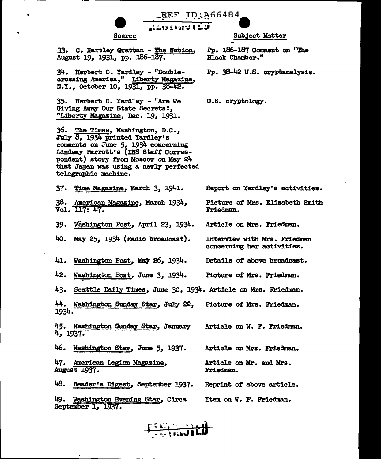

#### Source

**Subject Matter** 

33. C. Hartley Grattan - The Nation. August 19, 1931, pp. 186-187.

34. Herbert O. Yardley - "Doublecrossing America," Liberty Magazine,<br>N.Y., October 10, 1931, pp. 38-42.

35. Herbert O. Yardley - "Are We Giving Away Our State Secrets?. "Liberty Magazine, Dec. 19, 1931.

36. The Times, Washington, D.C., July 8, 1934 printed Yardley's comments on June 5, 1934 concerning Lindsay Parrott's (INS Staff Correspondent) story from Moscow on May 24 that Japan was using a newly perfected telegraphic machine.

37. Time Magazine, March 3, 1941.

38. American Magazine, March 1934, Vol. 117: 47.

39. Washington Post, April 23, 1934.

40. May 25, 1934 (Radio broadcast).

41. Washington Post, May 26, 1934.

42. Washington Post, June 3, 1934. Picture of Mrs. Friedman.

43. Seattle Daily Times, June 30, 1934. Article on Mrs. Friedman.

44. Washington Sunday Star, July 22, Picture of Mrs. Friedman. 1934.

45. Washington Sunday Star, January Article on W. F. Friedman. 4,  $1937.$ 

46. Washington Star, June 5, 1937. Article on Mrs. Friedman.

47. American Legion Magazine, August 1937.

48. Reader's Digest, September 1937. Reprint of above article.

49. Washington Evening Star, Circa Item on W. F. Friedman. September 1, 1937.



Pp. 38-42 U.S. cryptanalysis.

U.S. cryptology.

Report on Yardley's activities.

Picture of Mrs. Elizabeth Smith Friedman.

Article on Mrs. Friedman.

Article on Mr. and Mrs.

Friedman.

Interview with Mrs. Friedman concerning her activities.

Details of above broadcast.

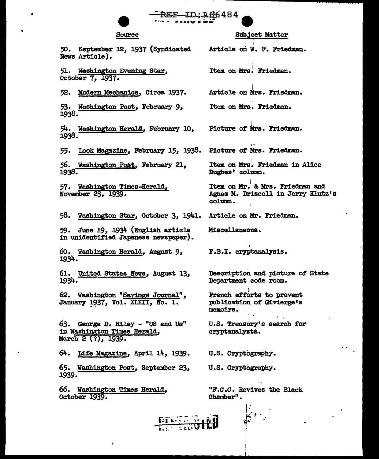# **REE-ID:A66484**

#### Source

50. September 12, 1937 (Syndicated

#### **Subject Matter**

Article on W. F. Friedman.

Item on Mrs. Friedman.

51. Washington Evening Star, October 7, 1937.

News Article).

52. Modern Mechanics, Circa 1937.

53. Washington Post, February 9, 1938.

54. Washington Herald, February 10, 1938.

55. Look Magazine, February 15, 1938. Picture of Mrs. Friedman.

56. Washington Post, February 21, 1938.

57. Washington Times-Herald, November 23, 1939.

58. Washington Star, October 3, 1941. Article on Mr. Friedman.

59. June 19, 1934 (English article in unidentified Japanese newspaper).

60. Washington Herald, August 9, 1934.

61. United States News, August 13, 1934.

62. Washington "Savings Journal", January 1937, Vol. XLIII, No. 1.

63. George D. Riley - "US and Us" in Washington Times Herald, March 2 (?), 1939.

64. Life Magazine, April 14, 1939.

65. Washington Post, September 23, 1939.

66. Washington Times Herald, October 1939.

Article on Mrs. Friedman.

Item on Mrs. Friedman.

Picture of Mrs. Friedman.

Item on Mrs. Friedman in Alice Hughes' column.

Item on Mr. & Mrs. Friedman and Agnes M. Driscoll in Jerry Klutz's column.

Miscellaneous.

F.B.I. cryptanalysis.

Description and picture of State Department code room.

French efforts to prevent publication of Givierge's memoirs.

U.S. Treasury's search for cryptanalysts.

U.S. Cryptography.

U.S. Cryptography.

"F.C.C. Revives the Black Chamber".

 $\mathbf{r}$ 

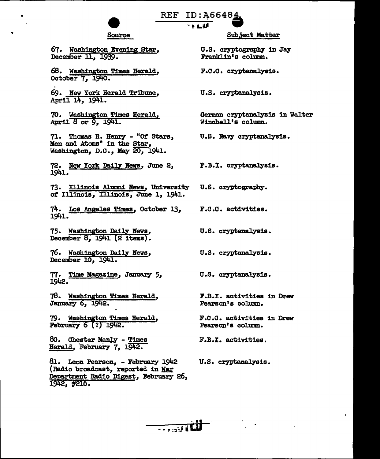# REF ID:A66484 "l'LU •

# Source

67. Washington Evening Star, December ll, 1939.

..

68. Washington Times Herald, October 7;1940.

69. New York Herald Tribune, April 14, 1941.

70. Washington Times Herald, April 8 or 9, 1941.

71. Thomas R. Henry - *"Ot* Stars, Men and Atoms" in the Star, Washington, D.C., May 20, 1941.

72. New York Daily News, June 2, 1941.

73. Illinois Alumni News, University *ot* Illinois, Illinois, June 1, 1941.

74. Los Angeles Times, October 13, 1941.

75. Washington Daily News, December 8, 1941 (2 items).

76. Washington Dai].y News, December 10, 1941..

77. Time Magazine, January 5, l.942.

78. Washington Times Herald, January 6, 1942.

79. Washington Times Herald, February  $6(?)$  1942.

80. Chester Manly - Times Herald, February 7, 1942.

Bl.. Leon Pearson, - February 1942 (Radio broadcast, reported in War Department Radio Digest, February 26,  $1942, #216.$ 

Subject Matter

U.S. cryptography in Jay Franklin's column.

F.C.C. cryptanalysis.

U.S. cryptanalysis.

German cryptanalysis in Walter Winchell's column.

U.S. Navy cryptanalysis.

F.B.I. cryptanalysis.

U.S. cryptography.

F.o.o. activities.

U.S. cryptanalysis.

U.S. cryptanalysis.

U.S. cryptanalysis.

!'.B.I. activities 1n Drew Pearson's column.

F.c.c. activities 1n Drew Pearson's column.

F.B.I. activities.

U.S. cryptanalysis.